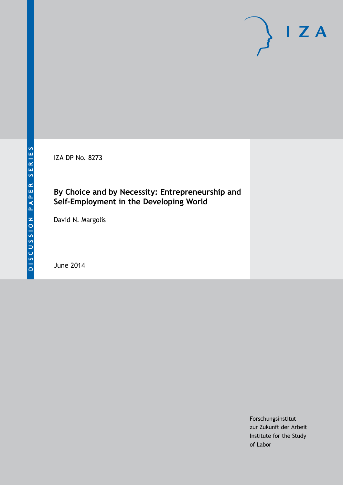IZA DP No. 8273

## **By Choice and by Necessity: Entrepreneurship and Self-Employment in the Developing World**

David N. Margolis

June 2014

Forschungsinstitut zur Zukunft der Arbeit Institute for the Study of Labor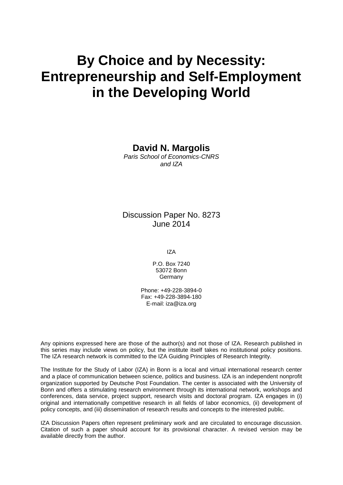# **By Choice and by Necessity: Entrepreneurship and Self-Employment in the Developing World**

**David N. Margolis**

*Paris School of Economics-CNRS and IZA*

Discussion Paper No. 8273 June 2014

IZA

P.O. Box 7240 53072 Bonn **Germany** 

Phone: +49-228-3894-0 Fax: +49-228-3894-180 E-mail: [iza@iza.org](mailto:iza@iza.org)

Any opinions expressed here are those of the author(s) and not those of IZA. Research published in this series may include views on policy, but the institute itself takes no institutional policy positions. The IZA research network is committed to the IZA Guiding Principles of Research Integrity.

The Institute for the Study of Labor (IZA) in Bonn is a local and virtual international research center and a place of communication between science, politics and business. IZA is an independent nonprofit organization supported by Deutsche Post Foundation. The center is associated with the University of Bonn and offers a stimulating research environment through its international network, workshops and conferences, data service, project support, research visits and doctoral program. IZA engages in (i) original and internationally competitive research in all fields of labor economics, (ii) development of policy concepts, and (iii) dissemination of research results and concepts to the interested public.

IZA Discussion Papers often represent preliminary work and are circulated to encourage discussion. Citation of such a paper should account for its provisional character. A revised version may be available directly from the author.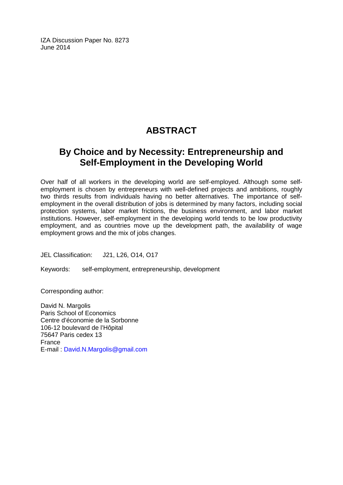IZA Discussion Paper No. 8273 June 2014

# **ABSTRACT**

# **By Choice and by Necessity: Entrepreneurship and Self-Employment in the Developing World**

Over half of all workers in the developing world are self-employed. Although some selfemployment is chosen by entrepreneurs with well-defined projects and ambitions, roughly two thirds results from individuals having no better alternatives. The importance of selfemployment in the overall distribution of jobs is determined by many factors, including social protection systems, labor market frictions, the business environment, and labor market institutions. However, self-employment in the developing world tends to be low productivity employment, and as countries move up the development path, the availability of wage employment grows and the mix of jobs changes.

JEL Classification: J21, L26, O14, O17

Keywords: self-employment, entrepreneurship, development

Corresponding author:

David N. Margolis Paris School of Economics Centre d'économie de la Sorbonne 106-12 boulevard de l'Hôpital 75647 Paris cedex 13 France E-mail : [David.N.Margolis@gmail.com](mailto:David.N.Margolis@gmail.com)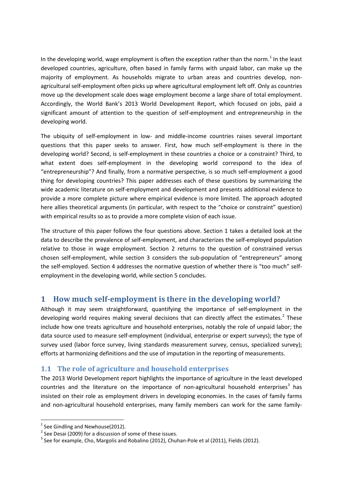In the developing world, wage employment is often the exception rather than the norm.<sup>1</sup> In the least developed countries, agriculture, often based in family farms with unpaid labor, can make up the majority of employment. As households migrate to urban areas and countries develop, nonagricultural self-employment often picks up where agricultural employment left off. Only as countries move up the development scale does wage employment become a large share of total employment. Accordingly, the World Bank's 2013 World Development Report, which focused on jobs, paid a significant amount of attention to the question of self-employment and entrepreneurship in the developing world.

The ubiquity of self-employment in low- and middle-income countries raises several important questions that this paper seeks to answer. First, how much self-employment is there in the developing world? Second, is self-employment in these countries a choice or a constraint? Third, to what extent does self-employment in the developing world correspond to the idea of "entrepreneurship"? And finally, from a normative perspective, is so much self-employment a good thing for developing countries? This paper addresses each of these questions by summarizing the wide academic literature on self-employment and development and presents additional evidence to provide a more complete picture where empirical evidence is more limited. The approach adopted here allies theoretical arguments (in particular, with respect to the "choice or constraint" question) with empirical results so as to provide a more complete vision of each issue.

The structure of this paper follows the four questions above. Section [1](#page-3-0) takes a detailed look at the data to describe the prevalence of self-employment, and characterizes the self-employed population relative to those in wage employment. Section [2](#page-9-0) returns to the question of constrained versus chosen self-employment, while section [3](#page-13-0) considers the sub-population of "entrepreneurs" among the self-employed. Section [4](#page-15-0) addresses the normative question of whether there is "too much" selfemployment in the developing world, while section [5](#page-17-0) concludes.

## <span id="page-3-0"></span>**1 How much self-employment is there in the developing world?**

Although it may seem straightforward, quantifying the importance of self-employment in the developing world requires making several decisions that can directly affect the estimates.<sup>[2](#page-3-1)</sup> These include how one treats agriculture and household enterprises, notably the role of unpaid labor; the data source used to measure self-employment (individual, enterprise or expert surveys); the type of survey used (labor force survey, living standards measurement survey, census, specialized survey); efforts at harmonizing definitions and the use of imputation in the reporting of measurements.

## **1.1 The role of agriculture and household enterprises**

The 2013 World Development report highlights the importance of agriculture in the least developed countries and the literature on the importance of non-agricultural household enterprises<sup>[3](#page-3-2)</sup> has insisted on their role as employment drivers in developing economies. In the cases of family farms and non-agricultural household enterprises, many family members can work for the same family-

<span id="page-3-3"></span><sup>&</sup>lt;sup>1</sup> See Gindling and Newhouse(2012).<br><sup>2</sup> See Desai (2009) for a discussion of some of these issues.

<span id="page-3-2"></span><span id="page-3-1"></span> $3$  See for example, Cho, Margolis and Robalino (2012), Chuhan-Pole et al (2011), Fields (2012).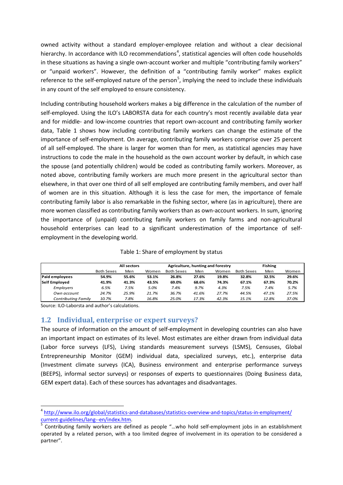owned activity without a standard employer-employee relation and without a clear decisional hierarchy. In accordance with ILO recommendations<sup>[4](#page-3-3)</sup>, statistical agencies will often code households in these situations as having a single own-account worker and multiple "contributing family workers" or "unpaid workers". However, the definition of a "contributing family worker" makes explicit reference to the self-employed nature of the person<sup>[5](#page-4-1)</sup>, implying the need to include these individuals in any count of the self employed to ensure consistency.

Including contributing household workers makes a big difference in the calculation of the number of self-employed. Using the ILO's LABORSTA data for each country's most recently available data year and for middle- and low-income countries that report own-account and contributing family worker data, [Table 1](#page-4-0) shows how including contributing family workers can change the estimate of the importance of self-employment. On average, contributing family workers comprise over 25 percent of all self-employed. The share is larger for women than for men, as statistical agencies may have instructions to code the male in the household as the own account worker by default, in which case the spouse (and potentially children) would be coded as contributing family workers. Moreover, as noted above, contributing family workers are much more present in the agricultural sector than elsewhere, in that over one third of all self employed are contributing family members, and over half of women are in this situation. Although it is less the case for men, the importance of female contributing family labor is also remarkable in the fishing sector, where (as in agriculture), there are more women classified as contributing family workers than as own-account workers. In sum, ignoring the importance of (unpaid) contributing family workers on family farms and non-agricultural household enterprises can lead to a significant underestimation of the importance of selfemployment in the developing world.

<span id="page-4-0"></span>

|                            | All sectors       |       |       | Agriculture, hunting and forestry |       |       | <b>Fishing</b>    |       |       |
|----------------------------|-------------------|-------|-------|-----------------------------------|-------|-------|-------------------|-------|-------|
|                            | <b>Both Sexes</b> | Men   | Women | <b>Both Sexes</b>                 | Men   | Women | <b>Both Sexes</b> | Men   | Women |
| <b>Paid employees</b>      | 54.9%             | 55.6% | 53.1% | 26.8%                             | 27.6% | 19.8% | 32.8%             | 32.5% | 29.6% |
| <b>Self Employed</b>       | 41.9%             | 41.3% | 43.5% | 69.0%                             | 68.6% | 74.3% | 67.1%             | 67.3% | 70.2% |
| <b>Employers</b>           | 6.5%              | 7.5%  | 5.0%  | 7.4%                              | 9.7%  | 4.3%  | 7.5%              | 7.4%  | 5.7%  |
| Own account                | 24.7%             | 25.9% | 21.7% | 36.7%                             | 41.6% | 27.7% | 44.5%             | 47.1% | 27.5% |
| <b>Contributing Family</b> | 10.7%             | 7.8%  | 16.8% | 25.0%                             | 17.3% | 42.3% | 15.1%             | 12.8% | 37.0% |

Source: ILO-Laborsta and author's calculations.

#### **1.2 Individual, enterprise or expert surveys?**

The source of information on the amount of self-employment in developing countries can also have an important impact on estimates of its level. Most estimates are either drawn from individual data (Labor force surveys (LFS), Living standards measurement surveys (LSMS), Censuses, Global Entrepreneurship Monitor (GEM) individual data, specialized surveys, etc.), enterprise data (Investment climate surveys (ICA), Business environment and enterprise performance surveys (BEEPS), informal sector surveys) or responses of experts to questionnaires (Doing Business data, GEM expert data). Each of these sources has advantages and disadvantages.

<span id="page-4-2"></span><sup>&</sup>lt;sup>4</sup> http://www.ilo.org/global/statistics-and-databases/statistics-overview-and-topics/status-in-employment/ [current-guidelines/lang--en/index.htm.](http://www.ilo.org/global/statistics-and-databases/statistics-overview-and-topics/status-in-employment/%20current-guidelines/lang--en/index.htm)<br>
<sup>5</sup> Contributing family workers are defined as people "...who hold self-employment jobs in an establishment

<span id="page-4-1"></span>operated by a related person, with a too limited degree of involvement in its operation to be considered a partner".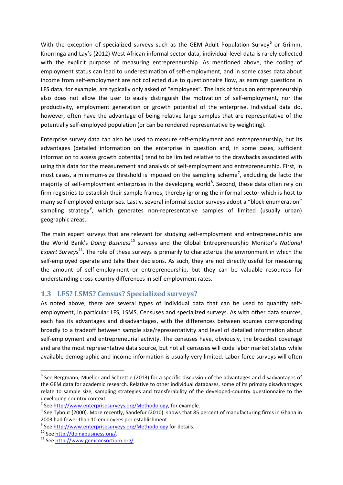With the exception of specialized surveys such as the GEM Adult Population Survey $6$  or Grimm, Knorringa and Lay's (2012) West African informal sector data, individual-level data is rarely collected with the explicit purpose of measuring entrepreneurship. As mentioned above, the coding of employment status can lead to underestimation of self-employment, and in some cases data about income from self-employment are not collected due to questionnaire flow, as earnings questions in LFS data, for example, are typically only asked of "employees". The lack of focus on entrepreneurship also does not allow the user to easily distinguish the motivation of self-employment, nor the productivity, employment generation or growth potential of the enterprise. Individual data do, however, often have the advantage of being relative large samples that are representative of the potentially self-employed population (or can be rendered representative by weighting).

Enterprise survey data can also be used to measure self-employment and entrepreneurship, but its advantages (detailed information on the enterprise in question and, in some cases, sufficient information to assess growth potential) tend to be limited relative to the drawbacks associated with using this data for the measurement and analysis of self-employment and entrepreneurship. First, in most cases, a minimum-size threshold is imposed on the sampling scheme<sup>[7](#page-5-0)</sup>, excluding de facto the majority of self-employment enterprises in the developing world<sup>[8](#page-5-1)</sup>. Second, these data often rely on firm registries to establish their sample frames, thereby ignoring the informal sector which is host to many self-employed enterprises. Lastly, several informal sector surveys adopt a "block enumeration" sampling strategy<sup>[9](#page-5-2)</sup>, which generates non-representative samples of limited (usually urban) geographic areas.

The main expert surveys that are relevant for studying self-employment and entrepreneurship are the World Bank's *Doing Business*[10](#page-5-3) surveys and the Global Entrepreneurship Monitor's *National Expert Surveys*<sup>11</sup>. The role of these surveys is primarily to characterize the environment in which the self-employed operate and take their decisions. As such, they are not directly useful for measuring the amount of self-employment or entrepreneurship, but they can be valuable resources for understanding cross-country differences in self-employment rates.

## **1.3 LFS? LSMS? Census? Specialized surveys?**

As noted above, there are several types of individual data that can be used to quantify selfemployment, in particular LFS, LSMS, Censuses and specialized surveys. As with other data sources, each has its advantages and disadvantages, with the differences between sources corresponding broadly to a tradeoff between sample size/representativity and level of detailed information about self-employment and entrepreneurial activity. The censuses have, obviously, the broadest coverage and are the most representative data source, but not all censuses will code labor market status while available demographic and income information is usually very limited. Labor force surveys will often

 $6$  See Bergmann, Mueller and Schrettle (2013) for a specific discussion of the advantages and disadvantages of the GEM data for academic research. Relative to other individual databases, some of its primary disadvantages relate to sample size, sampling strategies and transferability of the developed-country questionnaire to the developing-country context.<br><sup>7</sup> See <u>http://www.enterprisesurveys.org/Methodology</u>, for example.<br><sup>8</sup> See Tybout (2000). More recently, Sandefur (2010) shows that 85 percent of manufacturing firms in Ghana in

<span id="page-5-0"></span>

<span id="page-5-1"></span><sup>2003</sup> had fewer than 10 employees per establishment

<span id="page-5-2"></span><sup>&</sup>lt;sup>9</sup> See<http://www.enterprisesurveys.org/Methodology> for details.<br><sup>10</sup> Se[e http://doingbusiness.org/.](http://doingbusiness.org/)<br><sup>11</sup> Se[e http://www.gemconsortium.org/.](http://www.gemconsortium.org/)

<span id="page-5-3"></span>

<span id="page-5-4"></span>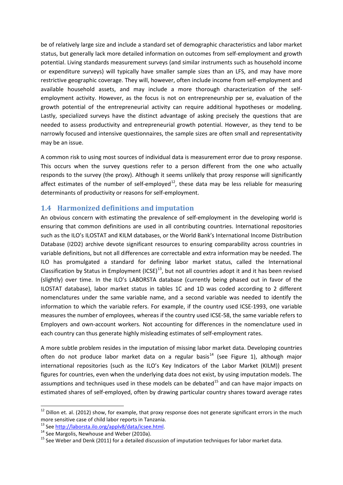be of relatively large size and include a standard set of demographic characteristics and labor market status, but generally lack more detailed information on outcomes from self-employment and growth potential. Living standards measurement surveys (and similar instruments such as household income or expenditure surveys) will typically have smaller sample sizes than an LFS, and may have more restrictive geographic coverage. They will, however, often include income from self-employment and available household assets, and may include a more thorough characterization of the selfemployment activity. However, as the focus is not on entrepreneurship per se, evaluation of the growth potential of the entrepreneurial activity can require additional hypotheses or modeling. Lastly, specialized surveys have the distinct advantage of asking precisely the questions that are needed to assess productivity and entrepreneurial growth potential. However, as they tend to be narrowly focused and intensive questionnaires, the sample sizes are often small and representativity may be an issue.

A common risk to using most sources of individual data is measurement error due to proxy response. This occurs when the survey questions refer to a person different from the one who actually responds to the survey (the proxy). Although it seems unlikely that proxy response will significantly affect estimates of the number of self-employed<sup>[12](#page-5-1)</sup>, these data may be less reliable for measuring determinants of productivity or reasons for self-employment.

## **1.4 Harmonized definitions and imputation**

An obvious concern with estimating the prevalence of self-employment in the developing world is ensuring that common definitions are used in all contributing countries. International repositories such as the ILO's ILOSTAT and KILM databases, or the World Bank's International Income Distribution Database (I2D2) archive devote significant resources to ensuring comparability across countries in variable definitions, but not all differences are correctable and extra information may be needed. The ILO has promulgated a standard for defining labor market status, called the International Classification by Status in Employment (ICSE)<sup>13</sup>, but not all countries adopt it and it has been revised (slightly) over time. In the ILO's LABORSTA database (currently being phased out in favor of the ILOSTAT database), labor market status in tables 1C and 1D was coded according to 2 different nomenclatures under the same variable name, and a second variable was needed to identify the information to which the variable refers. For example, if the country used ICSE-1993, one variable measures the number of employees, whereas if the country used ICSE-58, the same variable refers to Employers and own-account workers. Not accounting for differences in the nomenclature used in each country can thus generate highly misleading estimates of self-employment rates.

A more subtle problem resides in the imputation of missing labor market data. Developing countries often do not produce labor market data on a regular basis<sup>[14](#page-6-1)</sup> (see [Figure 1\)](#page-7-0), although major international repositories (such as the ILO's Key Indicators of the Labor Market (KILM)) present figures for countries, even when the underlying data does not exist, by using imputation models. The assumptions and techniques used in these models can be debated<sup>[15](#page-6-2)</sup> and can have major impacts on estimated shares of self-employed, often by drawing particular country shares toward average rates

<span id="page-6-3"></span><sup>&</sup>lt;sup>12</sup> Dillon et. al. (2012) show, for example, that proxy response does not generate significant errors in the much more sensitive case of child labor reports in Tanzania.<br><sup>13</sup> Se[e http://laborsta.ilo.org/applv8/data/icsee.html.](http://laborsta.ilo.org/applv8/data/icsee.html)<br><sup>14</sup> See Margolis, Newhouse and Weber (2010a).<br><sup>15</sup> See Weber and Denk (2011) for a detailed discussion of im

<span id="page-6-0"></span>

<span id="page-6-1"></span>

<span id="page-6-2"></span>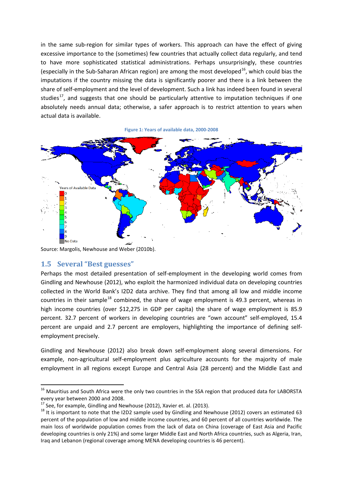in the same sub-region for similar types of workers. This approach can have the effect of giving excessive importance to the (sometimes) few countries that actually collect data regularly, and tend to have more sophisticated statistical administrations. Perhaps unsurprisingly, these countries (especially in the Sub-Saharan African region) are among the most developed<sup>[16](#page-6-3)</sup>, which could bias the imputations if the country missing the data is significantly poorer and there is a link between the share of self-employment and the level of development. Such a link has indeed been found in several studies<sup>[17](#page-7-1)</sup>, and suggests that one should be particularly attentive to imputation techniques if one absolutely needs annual data; otherwise, a safer approach is to restrict attention to years when actual data is available.

<span id="page-7-0"></span>

Source: Margolis, Newhouse and Weber (2010b).

#### **1.5 Several "Best guesses"**

Perhaps the most detailed presentation of self-employment in the developing world comes from Gindling and Newhouse (2012), who exploit the harmonized individual data on developing countries collected in the World Bank's I2D2 data archive. They find that among all low and middle income countries in their sample<sup>[18](#page-7-2)</sup> combined, the share of wage employment is 49.3 percent, whereas in high income countries (over \$12,275 in GDP per capita) the share of wage employment is 85.9 percent. 32.7 percent of workers in developing countries are "own account" self-employed, 15.4 percent are unpaid and 2.7 percent are employers, highlighting the importance of defining selfemployment precisely.

Gindling and Newhouse (2012) also break down self-employment along several dimensions. For example, non-agricultural self-employment plus agriculture accounts for the majority of male employment in all regions except Europe and Central Asia (28 percent) and the Middle East and

<sup>&</sup>lt;sup>16</sup> Mauritius and South Africa were the only two countries in the SSA region that produced data for LABORSTA every year between 2000 and 2008.<br><sup>17</sup> See, for example, Gindling and Newhouse (2012), Xavier et. al. (2013).

<span id="page-7-2"></span><span id="page-7-1"></span> $18$  It is important to note that the I2D2 sample used by Gindling and Newhouse (2012) covers an estimated 63 percent of the population of low and middle income countries, and 60 percent of all countries worldwide. The main loss of worldwide population comes from the lack of data on China (coverage of East Asia and Pacific developing countries is only 21%) and some larger Middle East and North Africa countries, such as Algeria, Iran, Iraq and Lebanon (regional coverage among MENA developing countries is 46 percent).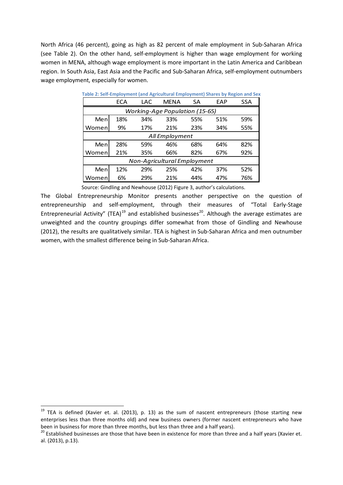North Africa (46 percent), going as high as 82 percent of male employment in Sub-Saharan Africa (see [Table 2\)](#page-8-0). On the other hand, self-employment is higher than wage employment for working women in MENA, although wage employment is more important in the Latin America and Caribbean region. In South Asia, East Asia and the Pacific and Sub-Saharan Africa, self-employment outnumbers wage employment, especially for women.

|                             | <b>ECA</b>                            | LAC | <b>MENA</b> | <b>SA</b> | EAP | <b>SSA</b> |  |
|-----------------------------|---------------------------------------|-----|-------------|-----------|-----|------------|--|
|                             | <b>Working-Age Population (15-65)</b> |     |             |           |     |            |  |
| Men                         | 18%                                   | 34% | 33%         | 55%       | 51% | 59%        |  |
| Women                       | 9%                                    | 17% | 21%         | 23%       | 34% | 55%        |  |
| All Employment              |                                       |     |             |           |     |            |  |
| Men                         | 28%                                   | 59% | 46%         | 68%       | 64% | 82%        |  |
| Women                       | 21%                                   | 35% | 66%         | 82%       | 67% | 92%        |  |
| Non-Agricultural Employment |                                       |     |             |           |     |            |  |
| Men                         | 12%                                   | 29% | 25%         | 42%       | 37% | 52%        |  |
| Women                       | 6%                                    | 29% | 21%         | 44%       | 47% | 76%        |  |

<span id="page-8-0"></span>**Table 2: Self-Employment (and Agricultural Employment) Shares by Region and Sex**

Source: Gindling and Newhouse (2012) Figure 3, author's calculations.

The Global Entrepreneurship Monitor presents another perspective on the question of entrepreneurship and self-employment, through their measures of "Total Early-Stage Entrepreneurial Activity" (TEA)<sup>[19](#page-7-2)</sup> and established businesses<sup>20</sup>. Although the average estimates are unweighted and the country groupings differ somewhat from those of Gindling and Newhouse (2012), the results are qualitatively similar. TEA is highest in Sub-Saharan Africa and men outnumber women, with the smallest difference being in Sub-Saharan Africa.

<span id="page-8-2"></span><sup>&</sup>lt;sup>19</sup> TEA is defined (Xavier et. al. (2013), p. 13) as the sum of nascent entrepreneurs (those starting new enterprises less than three months old) and new business owners (former nascent entrepreneurs who have been in business for more than three months, but less than three and a half years).

<span id="page-8-1"></span><sup>&</sup>lt;sup>20</sup> Established businesses are those that have been in existence for more than three and a half years (Xavier et. al. (2013), p.13).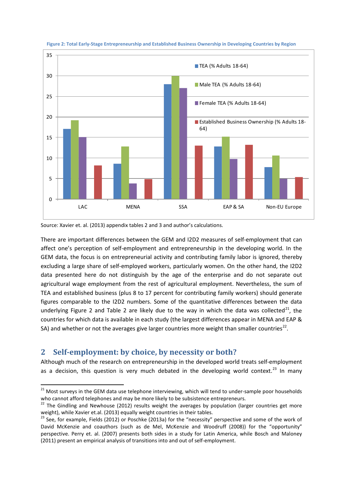<span id="page-9-1"></span>

**Figure 2: Total Early-Stage Entrepreneurship and Established Business Ownership in Developing Countries by Region**

Source: Xavier et. al. (2013) appendix tables 2 and 3 and author's calculations.

There are important differences between the GEM and I2D2 measures of self-employment that can affect one's perception of self-employment and entrepreneurship in the developing world. In the GEM data, the focus is on entrepreneurial activity and contributing family labor is ignored, thereby excluding a large share of self-employed workers, particularly women. On the other hand, the I2D2 data presented here do not distinguish by the age of the enterprise and do not separate out agricultural wage employment from the rest of agricultural employment. Nevertheless, the sum of TEA and established business (plus 8 to 17 percent for contributing family workers) should generate figures comparable to the I2D2 numbers. Some of the quantitative differences between the data underlying [Figure 2](#page-9-1) and [Table 2](#page-8-0) are likely due to the way in which the data was collected $^{21}$  $^{21}$  $^{21}$ . the countries for which data is available in each study (the largest differences appear in MENA and EAP & SA) and whether or not the averages give larger countries more weight than smaller countries<sup>22</sup>.

## <span id="page-9-0"></span>**2 Self-employment: by choice, by necessity or both?**

Although much of the research on entrepreneurship in the developed world treats self-employment as a decision, this question is very much debated in the developing world context.<sup>[23](#page-9-3)</sup> In many

<sup>&</sup>lt;sup>21</sup> Most survevs in the GEM data use telephone interviewing, which will tend to under-sample poor households who cannot afford telephones and may be more likely to be subsistence entrepreneurs.<br><sup>22</sup> The Gindling and Newhouse (2012) results weight the averages by population (larger countries get more

<span id="page-9-4"></span><span id="page-9-2"></span>weight), while Xavier et.al. (2013) equally weight countries in their tables.<br><sup>23</sup> See, for example, Fields (2012) or Poschke (2013a) for the "necessity" perspective and some of the work of

<span id="page-9-3"></span>David McKenzie and coauthors (such as de Mel, McKenzie and Woodruff (2008)) for the "opportunity" perspective. Perry et. al. (2007) presents both sides in a study for Latin America, while Bosch and Maloney (2011) present an empirical analysis of transitions into and out of self-employment.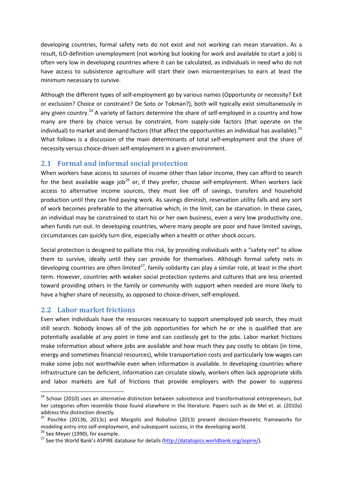developing countries, formal safety nets do not exist and not working can mean starvation. As a result, ILO-definition unemployment (not working but looking for work and available to start a job) is often very low in developing countries where it can be calculated, as individuals in need who do not have access to subsistence agriculture will start their own microenterprises to earn at least the minimum necessary to survive.

Although the different types of self-employment go by various names (Opportunity or necessity? Exit or exclusion? Choice or constraint? De Soto or Tokman?), both will typically exist simultaneously in any given country.<sup>[24](#page-9-4)</sup> A variety of factors determine the share of self-employed in a country and how many are there by choice versus by constraint, from supply-side factors (that operate on the individual) to market and demand factors (that affect the opportunities an individual has available).<sup>[25](#page-10-0)</sup> What follows is a discussion of the main determinants of total self-employment and the share of necessity versus choice-driven self-employment in a given environment.

## **2.1 Formal and informal social protection**

When workers have access to sources of income other than labor income, they can afford to search for the best available wage job<sup>[26](#page-10-1)</sup> or, if they prefer, choose self-employment. When workers lack access to alternative income sources, they must live off of savings, transfers and household production until they can find paying work. As savings diminish, reservation utility falls and any sort of work becomes preferable to the alternative which, in the limit, can be starvation. In these cases, an individual may be constrained to start his or her own business, even a very low productivity one, when funds run out. In developing countries, where many people are poor and have limited savings, circumstances can quickly turn dire, especially when a health or other shock occurs.

Social protection is designed to palliate this risk, by providing individuals with a "safety net" to allow them to survive, ideally until they can provide for themselves. Although formal safety nets in developing countries are often limited<sup>[27](#page-10-2)</sup>, family solidarity can play a similar role, at least in the short term. However, countries with weaker social protection systems and cultures that are less oriented toward providing others in the family or community with support when needed are more likely to have a higher share of necessity, as opposed to choice-driven, self-employed.

## **2.2 Labor market frictions**

<span id="page-10-3"></span>Even when individuals have the resources necessary to support unemployed job search, they must still search. Nobody knows all of the job opportunities for which he or she is qualified that are potentially available at any point in time and can costlessly get to the jobs. Labor market frictions make information about where jobs are available and how much they pay costly to obtain (in time, energy and sometimes financial resources), while transportation costs and particularly low wages can make some jobs not worthwhile even when information is available. In developing countries where infrastructure can be deficient, information can circulate slowly, workers often lack appropriate skills and labor markets are full of frictions that provide employers with the power to suppress

<sup>&</sup>lt;sup>24</sup> Schoar (2010) uses an alternative distinction between subsistence and transformational entrepreneurs, but her categories often resemble those found elsewhere in the literature. Papers such as de Mel et. al. (2010a) address this distinction directly.

<span id="page-10-0"></span><sup>&</sup>lt;sup>25</sup> Poschke (2013b, 2013c) and Margolis and Robalino (2013) present decision-theoretic frameworks for modeling entry into self-employment, and subsequent success, in the developing world.<br><sup>26</sup> See Meyer (1990), for example.<br><sup>27</sup> See the World Bank's ASPIRE database for details [\(http://datatopics.worldbank.org/aspire/\)](http://datatopics.worldbank.org/aspire/).

<span id="page-10-2"></span><span id="page-10-1"></span>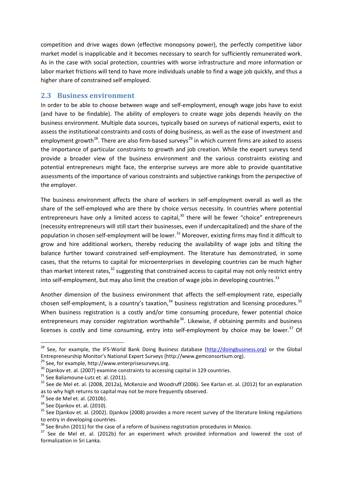competition and drive wages down (effective monopsony power), the perfectly competitive labor market model is inapplicable and it becomes necessary to search for sufficiently remunerated work. As in the case with social protection, countries with worse infrastructure and more information or labor market frictions will tend to have more individuals unable to find a wage job quickly, and thus a higher share of constrained self employed.

## **2.3 Business environment**

In order to be able to choose between wage and self-employment, enough wage jobs have to exist (and have to be findable). The ability of employers to create wage jobs depends heavily on the business environment. Multiple data sources, typically based on surveys of national experts, exist to assess the institutional constraints and costs of doing business, as well as the ease of investment and employment growth<sup>[28](#page-10-3)</sup>. There are also firm-based surveys<sup>[29](#page-11-0)</sup> in which current firms are asked to assess the importance of particular constraints to growth and job creation. While the expert surveys tend provide a broader view of the business environment and the various constraints existing and potential entrepreneurs might face, the enterprise surveys are more able to provide quantitative assessments of the importance of various constraints and subjective rankings from the perspective of the employer.

The business environment affects the share of workers in self-employment overall as well as the share of the self-employed who are there by choice versus necessity. In countries where potential entrepreneurs have only a limited access to capital, $30$  there will be fewer "choice" entrepreneurs (necessity entrepreneurs will still start their businesses, even if undercapitalized) and the share of the population in chosen self-employment will be lower.<sup>[31](#page-11-2)</sup> Moreover, existing firms may find it difficult to grow and hire additional workers, thereby reducing the availability of wage jobs and tilting the balance further toward constrained self-employment. The literature has demonstrated, in some cases, that the returns to capital for microenterprises in developing countries can be much higher than market interest rates, $32$  suggesting that constrained access to capital may not only restrict entry into self-employment, but may also limit the creation of wage jobs in developing countries.<sup>[33](#page-11-4)</sup>

Another dimension of the business environment that affects the self-employment rate, especially chosen self-employment, is a country's taxation,<sup>[34](#page-11-5)</sup> business registration and licensing procedures.<sup>[35](#page-11-6)</sup> When business registration is a costly and/or time consuming procedure, fewer potential choice entrepreneurs may consider registration worthwhile<sup>[36](#page-11-7)</sup>. Likewise, if obtaining permits and business licenses is costly and time consuming, entry into self-employment by choice may be lower.<sup>[37](#page-11-8)</sup> Of

<sup>&</sup>lt;sup>28</sup> See, for example, the IFS-World Bank Doing Business database ( $\frac{http://doingbusiness.org}{http://www.gemconsortium.org}$ ) or the Global Entrepreneurship Monitor's National Expert Surveys (http://www.gemconsortium.org).

<span id="page-11-1"></span>

<span id="page-11-3"></span><span id="page-11-2"></span>

<span id="page-11-0"></span><sup>&</sup>lt;sup>29</sup> See, for example, http://www.enterprisesurveys.org.<br><sup>30</sup> Djankov et. al. (2007) examine constraints to accessing capital in 129 countries.<br><sup>31</sup> See Baliamoune-Lutz et. al. (2011).<br><sup>32</sup> See de Mel et. al. (2008, 2012a as to why high returns to capital may not be more frequently observed.<br> $33$  See de Mel et. al. (2010b).

<span id="page-11-4"></span>

<span id="page-11-6"></span><span id="page-11-5"></span><sup>&</sup>lt;sup>34</sup> See Djankov et. al. (2010).<br><sup>35</sup> See Djankov et. al. (2002). Djankov (2008) provides a more recent survey of the literature linking regulations

<span id="page-11-8"></span>

<span id="page-11-7"></span>to entry in developing countries.<br><sup>36</sup> See Bruhn (2011) for the case of a reform of business registration procedures in Mexico.<br><sup>37</sup> See de Mel et. al. (2012b) for an experiment which provided information and lowered the formalization in Sri Lanka.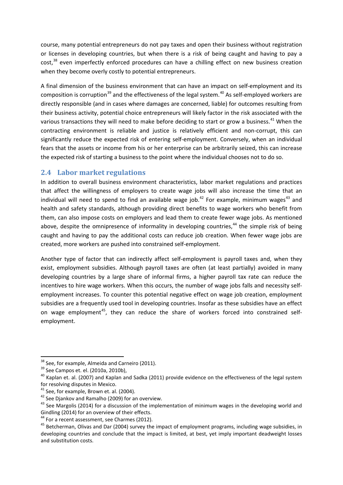course, many potential entrepreneurs do not pay taxes and open their business without registration or licenses in developing countries, but when there is a risk of being caught and having to pay a cost,<sup>[38](#page-11-0)</sup> even imperfectly enforced procedures can have a chilling effect on new business creation when they become overly costly to potential entrepreneurs.

A final dimension of the business environment that can have an impact on self-employment and its composition is corruption<sup>[39](#page-12-0)</sup> and the effectiveness of the legal system.<sup>[40](#page-12-1)</sup> As self-employed workers are directly responsible (and in cases where damages are concerned, liable) for outcomes resulting from their business activity, potential choice entrepreneurs will likely factor in the risk associated with the various transactions they will need to make before deciding to start or grow a business.<sup>[41](#page-12-2)</sup> When the contracting environment is reliable and justice is relatively efficient and non-corrupt, this can significantly reduce the expected risk of entering self-employment. Conversely, when an individual fears that the assets or income from his or her enterprise can be arbitrarily seized, this can increase the expected risk of starting a business to the point where the individual chooses not to do so.

## **2.4 Labor market regulations**

In addition to overall business environment characteristics, labor market regulations and practices that affect the willingness of employers to create wage jobs will also increase the time that an individual will need to spend to find an available wage job. $^{42}$  $^{42}$  $^{42}$  For example, minimum wages<sup>[43](#page-12-4)</sup> and health and safety standards, although providing direct benefits to wage workers who benefit from them, can also impose costs on employers and lead them to create fewer wage jobs. As mentioned above, despite the omnipresence of informality in developing countries, $44$  the simple risk of being caught and having to pay the additional costs can reduce job creation. When fewer wage jobs are created, more workers are pushed into constrained self-employment.

Another type of factor that can indirectly affect self-employment is payroll taxes and, when they exist, employment subsidies. Although payroll taxes are often (at least partially) avoided in many developing countries by a large share of informal firms, a higher payroll tax rate can reduce the incentives to hire wage workers. When this occurs, the number of wage jobs falls and necessity selfemployment increases. To counter this potential negative effect on wage job creation, employment subsidies are a frequently used tool in developing countries. Insofar as these subsidies have an effect on wage employment<sup>[45](#page-12-6)</sup>, they can reduce the share of workers forced into constrained selfemployment.

<span id="page-12-0"></span>

<span id="page-12-7"></span><sup>&</sup>lt;sup>38</sup> See, for example, Almeida and Carneiro (2011).<br><sup>39</sup> See Campos et. el. (2010a, 2010b),<br><sup>40</sup> Kaplan et. al. (2007) and Kaplan and Sadka (2011) provide evidence on the effectiveness of the legal system

<span id="page-12-1"></span>for resolving disputes in Mexico.<br><sup>41</sup> See, for example, Brown et. al. (2004).

<span id="page-12-3"></span><span id="page-12-2"></span><sup>&</sup>lt;sup>42</sup> See Djankov and Ramalho (2009) for an overview.<br><sup>43</sup> See Margolis (2014) for a discussion of the implementation of minimum wages in the developing world and

<span id="page-12-6"></span>

<span id="page-12-5"></span><span id="page-12-4"></span>Gindling (2014) for an overview of their effects.<br><sup>44</sup> For a recent assessment, see Charmes (2012).<br><sup>45</sup> Betcherman, Olivas and Dar (2004) survey the impact of employment programs, including wage subsidies, in developing countries and conclude that the impact is limited, at best, yet imply important deadweight losses and substitution costs.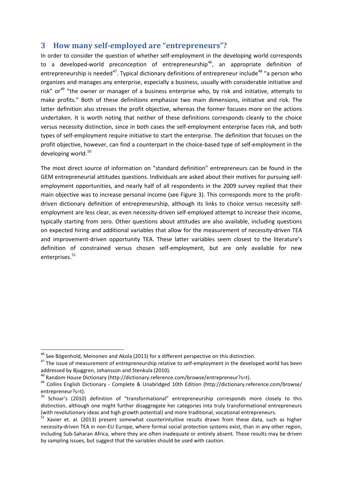## <span id="page-13-0"></span>**3 How many self-employed are "entrepreneurs"?**

In order to consider the question of whether self-employment in the developing world corresponds to a developed-world preconception of entrepreneurship<sup>[46](#page-12-7)</sup>, an appropriate definition of entrepreneurship is needed<sup>[47](#page-13-1)</sup>. Typical dictionary definitions of entrepreneur include<sup>[48](#page-13-2)</sup> "a person who organizes and manages any enterprise, especially a business, usually with considerable initiative and risk" or<sup>[49](#page-13-3)</sup> "the owner or manager of a business enterprise who, by risk and initiative, attempts to make profits." Both of these definitions emphasize two main dimensions, initiative and risk. The latter definition also stresses the profit objective, whereas the former focuses more on the actions undertaken. It is worth noting that neither of these definitions corresponds cleanly to the choice versus necessity distinction, since in both cases the self-employment enterprise faces risk, and both types of self-employment require initiative to start the enterprise. The definition that focuses on the profit objective, however, can find a counterpart in the choice-based type of self-employment in the developing world.<sup>[50](#page-13-4)</sup>

The most direct source of information on "standard definition" entrepreneurs can be found in the GEM entrepreneurial attitudes questions. Individuals are asked about their motives for pursuing selfemployment opportunities, and nearly half of all respondents in the 2009 survey replied that their main objective was to increase personal income (see [Figure 3\)](#page-14-0). This corresponds more to the profitdriven dictionary definition of entrepreneurship, although its links to choice versus necessity selfemployment are less clear, as even necessity-driven self-employed attempt to increase their income, typically starting from zero. Other questions about attitudes are also available, including questions on expected hiring and additional variables that allow for the measurement of necessity-driven TEA and improvement-driven opportunity TEA. These latter variables seem closest to the literature's definition of constrained versus chosen self-employment, but are only available for new enterprises.<sup>[51](#page-13-5)</sup>

<span id="page-13-1"></span><sup>&</sup>lt;sup>46</sup> See Bögenhold, Meinonen and Akola (2013) for a different perspective on this distinction.<br><sup>47</sup> The issue of measurement of entrepreneurship relative to self-employment in the developed world has been<br>addressed by Bju

<span id="page-13-3"></span><span id="page-13-2"></span><sup>&</sup>lt;sup>48</sup> Random House Dictionary (http://dictionary.reference.com/browse/entrepreneur?s=t).<br><sup>49</sup> Collins English Dictionary - Complete & Unabridged 10th Edition (http://dictionary.reference.com/browse/ entrepreneur?s=t).<br><sup>50</sup> Schoar's (2010) definition of "transformational" entrepreneurship corresponds more closely to this

<span id="page-13-4"></span>distinction, although one might further disaggregate her categories into truly transformational entrepreneurs<br>(with revolutionary ideas and high growth potential) and more traditional, vocational entrepreneurs.

<span id="page-13-6"></span><span id="page-13-5"></span><sup>&</sup>lt;sup>51</sup> Xavier et. al. (2013) present somewhat counterintuitive results drawn from these data, such as higher necessity-driven TEA in non-EU Europe, where formal social protection systems exist, than in any other region, including Sub-Saharan Africa, where they are often inadequate or entirely absent. These results may be driven by sampling issues, but suggest that the variables should be used with caution.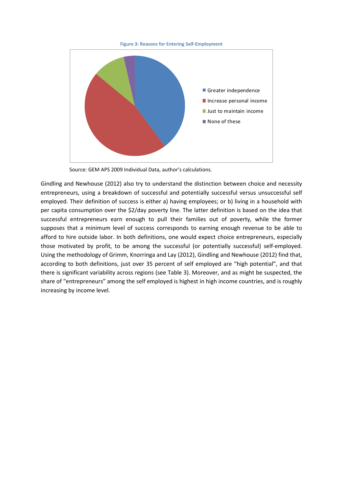<span id="page-14-0"></span>

Source: GEM APS 2009 Individual Data, author's calculations.

Gindling and Newhouse (2012) also try to understand the distinction between choice and necessity entrepreneurs, using a breakdown of successful and potentially successful versus unsuccessful self employed. Their definition of success is either a) having employees; or b) living in a household with per capita consumption over the \$2/day poverty line. The latter definition is based on the idea that successful entrepreneurs earn enough to pull their families out of poverty, while the former supposes that a minimum level of success corresponds to earning enough revenue to be able to afford to hire outside labor. In both definitions, one would expect choice entrepreneurs, especially those motivated by profit, to be among the successful (or potentially successful) self-employed. Using the methodology of Grimm, Knorringa and Lay (2012), Gindling and Newhouse (2012) find that, according to both definitions, just over 35 percent of self employed are "high potential", and that there is significant variability across regions (see [Table 3\)](#page-15-1). Moreover, and as might be suspected, the share of "entrepreneurs" among the self employed is highest in high income countries, and is roughly increasing by income level.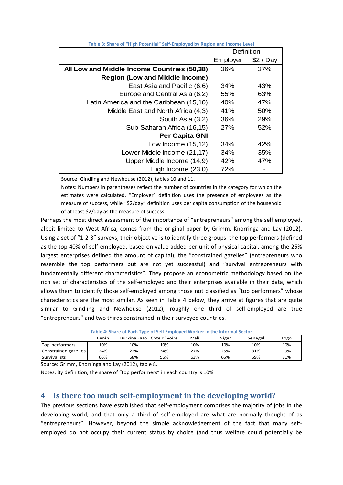<span id="page-15-1"></span>

|                                             | Definition |            |  |
|---------------------------------------------|------------|------------|--|
|                                             | Employer   | \$2/Day    |  |
| All Low and Middle Income Countries (50,38) | 36%        | 37%        |  |
| <b>Region (Low and Middle Income)</b>       |            |            |  |
| East Asia and Pacific (6,6)                 | 34%        | 43%        |  |
| Europe and Central Asia (6,2)               | 55%        | 63%        |  |
| Latin America and the Caribbean (15,10)     | 40%        | 47%        |  |
| Middle East and North Africa (4,3)          | 41%        | 50%        |  |
| South Asia (3,2)                            | 36%        | <b>29%</b> |  |
| Sub-Saharan Africa (16,15)                  | 27%        | 52%        |  |
| Per Capita GNI                              |            |            |  |
| Low Income $(15,12)$                        | 34%        | 42%        |  |
| Lower Middle Income (21,17)                 | 34%        | 35%        |  |
| Upper Middle Income (14,9)                  | 42%        | 47%        |  |
| High Income (23,0)                          | 72%        |            |  |

**Table 3: Share of "High Potential" Self-Employed by Region and Income Level**

Source: Gindling and Newhouse (2012), tables 10 and 11.

Notes: Numbers in parentheses reflect the number of countries in the category for which the estimates were calculated. "Employer" definition uses the presence of employees as the measure of success, while "\$2/day" definition uses per capita consumption of the household of at least \$2/day as the measure of success.

Perhaps the most direct assessment of the importance of "entrepreneurs" among the self employed, albeit limited to West Africa, comes from the original paper by Grimm, Knorringa and Lay (2012). Using a set of "1-2-3" surveys, their objective is to identify three groups: the top performers (defined as the top 40% of self-employed, based on value added per unit of physical capital, among the 25% largest enterprises defined the amount of capital), the "constrained gazelles" (entrepreneurs who resemble the top performers but are not yet successful) and "survival entrepreneurs with fundamentally different characteristics". They propose an econometric methodology based on the rich set of characteristics of the self-employed and their enterprises available in their data, which allows them to identify those self-employed among those not classified as "top performers" whose characteristics are the most similar. As seen in [Table 4](#page-15-2) below, they arrive at figures that are quite similar to Gindling and Newhouse (2012); roughly one third of self-employed are true "entrepreneurs" and two thirds constrained in their surveyed countries.

<span id="page-15-2"></span>

|                      | Benin | Burkina Faso | Côte d'Ivoire | Mali | Niger | Senegal | Togo |
|----------------------|-------|--------------|---------------|------|-------|---------|------|
| Top-performers       | 10%   | 10%          | 10%           | 10%  | 10%   | 10%     | 10%  |
| Constrained gazelles | 24%   | 22%          | 34%           | 27%  | 25%   | 31%     | 19%  |
| Survivalists         | 66%   | 68%          | 56%           | 63%  | 65%   | 59%     | 71%  |

Source: Grimm, Knorringa and Lay (2012), table 8.

<span id="page-15-0"></span>Notes: By definition, the share of "top performers" in each country is 10%.

## **4 Is there too much self-employment in the developing world?**

The previous sections have established that self-employment comprises the majority of jobs in the developing world, and that only a third of self-employed are what are normally thought of as "entrepreneurs". However, beyond the simple acknowledgement of the fact that many selfemployed do not occupy their current status by choice (and thus welfare could potentially be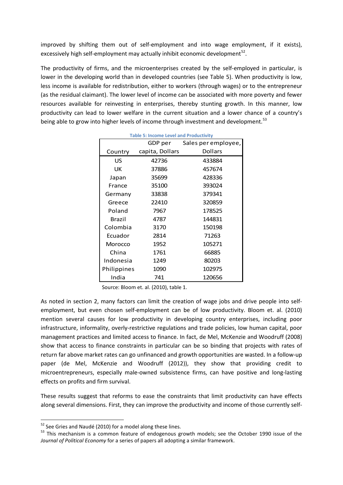improved by shifting them out of self-employment and into wage employment, if it exists), excessively high self-employment may actually inhibit economic development<sup>52</sup>.

The productivity of firms, and the microenterprises created by the self-employed in particular, is lower in the developing world than in developed countries (see [Table 5\)](#page-16-0). When productivity is low, less income is available for redistribution, either to workers (through wages) or to the entrepreneur (as the residual claimant). The lower level of income can be associated with more poverty and fewer resources available for reinvesting in enterprises, thereby stunting growth. In this manner, low productivity can lead to lower welfare in the current situation and a lower chance of a country's being able to grow into higher levels of income through investment and development.<sup>[53](#page-16-1)</sup>

<span id="page-16-0"></span>

| <b>Table 5: Income Level and Productivity</b> |                 |                     |  |  |  |  |
|-----------------------------------------------|-----------------|---------------------|--|--|--|--|
|                                               | GDP per         | Sales per employee, |  |  |  |  |
| Country                                       | capita, Dollars | <b>Dollars</b>      |  |  |  |  |
| US                                            | 42736           | 433884              |  |  |  |  |
| UK                                            | 37886           | 457674              |  |  |  |  |
| Japan                                         | 35699           | 428336              |  |  |  |  |
| France                                        | 35100           | 393024              |  |  |  |  |
| Germany                                       | 33838           | 379341              |  |  |  |  |
| Greece                                        | 22410           | 320859              |  |  |  |  |
| Poland                                        | 7967            | 178525              |  |  |  |  |
| Brazil                                        | 4787            | 144831              |  |  |  |  |
| Colombia                                      | 3170            | 150198              |  |  |  |  |
| Ecuador                                       | 2814            | 71263               |  |  |  |  |
| Morocco                                       | 1952            | 105271              |  |  |  |  |
| China                                         | 1761            | 66885               |  |  |  |  |
| Indonesia                                     | 1249            | 80203               |  |  |  |  |
| Philippines                                   | 1090            | 102975              |  |  |  |  |
| India                                         | 741             | 120656              |  |  |  |  |

Source: Bloom et. al. (2010), table 1.

As noted in section [2,](#page-9-0) many factors can limit the creation of wage jobs and drive people into selfemployment, but even chosen self-employment can be of low productivity. Bloom et. al. (2010) mention several causes for low productivity in developing country enterprises, including poor infrastructure, informality, overly-restrictive regulations and trade policies, low human capital, poor management practices and limited access to finance. In fact, de Mel, McKenzie and Woodruff (2008) show that access to finance constraints in particular can be so binding that projects with rates of return far above market rates can go unfinanced and growth opportunities are wasted. In a follow-up paper (de Mel, McKenzie and Woodruff (2012)), they show that providing credit to microentrepreneurs, especially male-owned subsistence firms, can have positive and long-lasting effects on profits and firm survival.

These results suggest that reforms to ease the constraints that limit productivity can have effects along several dimensions. First, they can improve the productivity and income of those currently self-

<span id="page-16-2"></span><span id="page-16-1"></span> $52$  See Gries and Naudé (2010) for a model along these lines.<br> $53$  This mechanism is a common feature of endogenous growth models; see the October 1990 issue of the *Journal of Political Economy* for a series of papers all adopting a similar framework.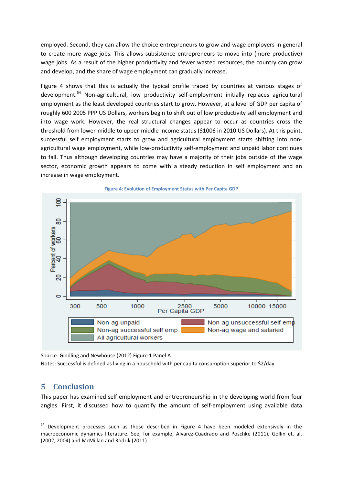employed. Second, they can allow the choice entrepreneurs to grow and wage employers in general to create more wage jobs. This allows subsistence entrepreneurs to move into (more productive) wage jobs. As a result of the higher productivity and fewer wasted resources, the country can grow and develop, and the share of wage employment can gradually increase.

[Figure 4](#page-17-1) shows that this is actually the typical profile traced by countries at various stages of development.<sup>[54](#page-16-2)</sup> Non-agricultural, low productivity self-employment initially replaces agricultural employment as the least developed countries start to grow. However, at a level of GDP per capita of roughly 600 2005 PPP US Dollars, workers begin to shift out of low productivity self employment and into wage work. However, the real structural changes appear to occur as countries cross the threshold from lower-middle to upper-middle income status (\$1006 in 2010 US Dollars). At this point, successful self employment starts to grow and agricultural employment starts shifting into nonagricultural wage employment, while low-productivity self-employment and unpaid labor continues to fall. Thus although developing countries may have a majority of their jobs outside of the wage sector, economic growth appears to come with a steady reduction in self employment and an increase in wage employment.

<span id="page-17-1"></span>

**Figure 4: Evolution of Employment Status with Per Capita GDP**

Source: Gindling and Newhouse (2012) Figure 1 Panel A.

<span id="page-17-0"></span>Notes: Successful is defined as living in a household with per capita consumption superior to \$2/day.

## **5 Conclusion**

This paper has examined self employment and entrepreneurship in the developing world from four angles. First, it discussed how to quantify the amount of self-employment using available data

<sup>&</sup>lt;sup>54</sup> Development processes such as those described in [Figure 4](#page-17-1) have been modeled extensively in the macroeconomic dynamics literature. See, for example, Alvarez-Cuadrado and Poschke (2011), Gollin et. al. (2002, 2004) and McMillan and Rodrik (2011).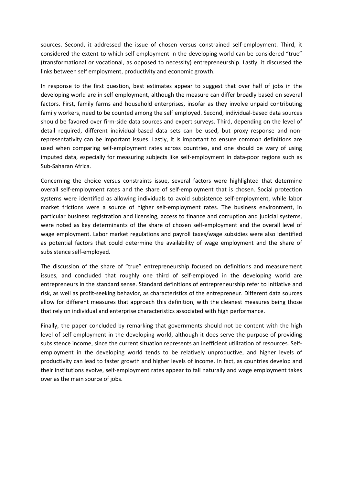sources. Second, it addressed the issue of chosen versus constrained self-employment. Third, it considered the extent to which self-employment in the developing world can be considered "true" (transformational or vocational, as opposed to necessity) entrepreneurship. Lastly, it discussed the links between self employment, productivity and economic growth.

In response to the first question, best estimates appear to suggest that over half of jobs in the developing world are in self employment, although the measure can differ broadly based on several factors. First, family farms and household enterprises, insofar as they involve unpaid contributing family workers, need to be counted among the self employed. Second, individual-based data sources should be favored over firm-side data sources and expert surveys. Third, depending on the level of detail required, different individual-based data sets can be used, but proxy response and nonrepresentativity can be important issues. Lastly, it is important to ensure common definitions are used when comparing self-employment rates across countries, and one should be wary of using imputed data, especially for measuring subjects like self-employment in data-poor regions such as Sub-Saharan Africa.

Concerning the choice versus constraints issue, several factors were highlighted that determine overall self-employment rates and the share of self-employment that is chosen. Social protection systems were identified as allowing individuals to avoid subsistence self-employment, while labor market frictions were a source of higher self-employment rates. The business environment, in particular business registration and licensing, access to finance and corruption and judicial systems, were noted as key determinants of the share of chosen self-employment and the overall level of wage employment. Labor market regulations and payroll taxes/wage subsidies were also identified as potential factors that could determine the availability of wage employment and the share of subsistence self-employed.

The discussion of the share of "true" entrepreneurship focused on definitions and measurement issues, and concluded that roughly one third of self-employed in the developing world are entrepreneurs in the standard sense. Standard definitions of entrepreneurship refer to initiative and risk, as well as profit-seeking behavior, as characteristics of the entrepreneur. Different data sources allow for different measures that approach this definition, with the cleanest measures being those that rely on individual and enterprise characteristics associated with high performance.

Finally, the paper concluded by remarking that governments should not be content with the high level of self-employment in the developing world, although it does serve the purpose of providing subsistence income, since the current situation represents an inefficient utilization of resources. Selfemployment in the developing world tends to be relatively unproductive, and higher levels of productivity can lead to faster growth and higher levels of income. In fact, as countries develop and their institutions evolve, self-employment rates appear to fall naturally and wage employment takes over as the main source of jobs.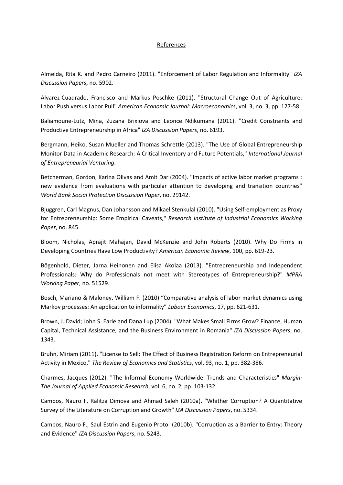#### References

Almeida, Rita K. and Pedro Carneiro (2011). "Enforcement of Labor Regulation and Informality" *IZA Discussion Papers*, no. 5902.

Alvarez-Cuadrado, Francisco and Markus Poschke (2011). "Structural Change Out of Agriculture: Labor Push versus Labor Pull" *American Economic Journal: Macroeconomics*, vol. 3, no. 3, pp. 127-58.

Baliamoune-Lutz, Mina, Zuzana Brixiova and Leonce Ndikumana (2011). "Credit Constraints and Productive Entrepreneurship in Africa" *IZA Discussion Papers*, no. 6193.

Bergmann, Heiko, Susan Mueller and Thomas Schrettle (2013). "The Use of Global Entrepreneurship Monitor Data in Academic Research: A Critical Inventory and Future Potentials," *International Journal of Entrepreneurial Venturing*.

Betcherman, Gordon, Karina Olivas and Amit Dar (2004). "Impacts of active labor market programs : new evidence from evaluations with particular attention to developing and transition countries" *World Bank Social Protection Discussion Paper*, no. 29142.

Bjuggren, Carl Magnus, Dan Johansson and Mikael Stenkulal (2010). "Using Self-employment as Proxy for Entrepreneurship: Some Empirical Caveats," *Research Institute of Industrial Economics Working Paper*, no. 845.

Bloom, Nicholas, Aprajit Mahajan, David McKenzie and John Roberts (2010). Why Do Firms in Developing Countries Have Low Productivity? *American Economic Review*, 100, pp. 619-23.

Bögenhold, Dieter, Jarna Heinonen and Elisa Akolaa (2013). "Entrepreneurship and Independent Professionals: Why do Professionals not meet with Stereotypes of Entrepreneurship?" *MPRA Working Paper*, no. 51529.

Bosch, Mariano & Maloney, William F. (2010) "Comparative analysis of labor market dynamics using Markov processes: An application to informality" *Labour Economics*, 17, pp. 621-631.

Brown, J. David; John S. Earle and Dana Lup (2004). "What Makes Small Firms Grow? Finance, Human Capital, Technical Assistance, and the Business Environment in Romania" *IZA Discussion Papers*, no. 1343.

Bruhn, Miriam (2011). "License to Sell: The Effect of Business Registration Reform on Entrepreneurial Activity in Mexico," *The Review of Economics and Statistics*, vol. 93, no. 1, pp. 382-386.

Charmes, Jacques (2012). "The Informal Economy Worldwide: Trends and Characteristics" *Margin: The Journal of Applied Economic Research*, vol. 6, no. 2, pp. 103-132.

Campos, Nauro F, Ralitza Dimova and Ahmad Saleh (2010a). "Whither Corruption? A Quantitative Survey of the Literature on Corruption and Growth" *IZA Discussion Papers*, no. 5334.

Campos, Nauro F., Saul Estrin and Eugenio Proto (2010b). "Corruption as a Barrier to Entry: Theory and Evidence" *IZA Discussion Papers*, no. 5243.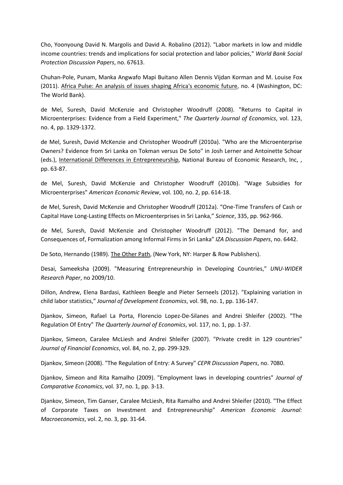Cho, Yoonyoung David N. Margolis and David A. Robalino (2012). "Labor markets in low and middle income countries: trends and implications for social protection and labor policies," *World Bank Social Protection Discussion Papers*, no. 67613.

Chuhan-Pole, Punam, Manka Angwafo Mapi Buitano Allen Dennis Vijdan Korman and M. Louise Fox (2011). Africa Pulse: An analysis of issues shaping Africa's economic future, no. 4 (Washington, DC: The World Bank).

de Mel, Suresh, David McKenzie and Christopher Woodruff (2008). "Returns to Capital in Microenterprises: Evidence from a Field Experiment," *The Quarterly Journal of Economics*, vol. 123, no. 4, pp. 1329-1372.

de Mel, Suresh, David McKenzie and Christopher Woodruff (2010a). "Who are the Microenterprise Owners? Evidence from Sri Lanka on Tokman versus De Soto" in Josh Lerner and Antoinette Schoar (eds.), International Differences in Entrepreneurship, National Bureau of Economic Research, Inc, , pp. 63-87.

de Mel, Suresh, David McKenzie and Christopher Woodruff (2010b). "Wage Subsidies for Microenterprises" *American Economic Review*, vol. 100, no. 2, pp. 614-18.

de Mel, Suresh, David McKenzie and Christopher Woodruff (2012a). "One-Time Transfers of Cash or Capital Have Long-Lasting Effects on Microenterprises in Sri Lanka," *Science*, 335, pp. 962-966.

de Mel, Suresh, David McKenzie and Christopher Woodruff (2012). "The Demand for, and Consequences of, Formalization among Informal Firms in Sri Lanka" *IZA Discussion Papers*, no. 6442.

De Soto, Hernando (1989). The Other Path, (New York, NY: Harper & Row Publishers).

Desai, Sameeksha (2009). "Measuring Entrepreneurship in Developing Countries," *UNU-WIDER Research Paper*, no 2009/10.

Dillon, Andrew, Elena Bardasi, Kathleen Beegle and Pieter Serneels (2012). "Explaining variation in child labor statistics," *Journal of Development Economics*, vol. 98, no. 1, pp. 136-147.

Djankov, Simeon, Rafael La Porta, Florencio Lopez-De-Silanes and Andrei Shleifer (2002). "The Regulation Of Entry" *The Quarterly Journal of Economics*, vol. 117, no. 1, pp. 1-37.

Djankov, Simeon, Caralee McLiesh and Andrei Shleifer (2007). "Private credit in 129 countries" *Journal of Financial Economics*, vol. 84, no. 2, pp. 299-329.

Djankov, Simeon (2008). "The Regulation of Entry: A Survey" *CEPR Discussion Papers*, no. 7080.

Djankov, Simeon and Rita Ramalho (2009). "Employment laws in developing countries" *Journal of Comparative Economics*, vol. 37, no. 1, pp. 3-13.

Djankov, Simeon, Tim Ganser, Caralee McLiesh, Rita Ramalho and Andrei Shleifer (2010). "The Effect of Corporate Taxes on Investment and Entrepreneurship" *American Economic Journal: Macroeconomics*, vol. 2, no. 3, pp. 31-64.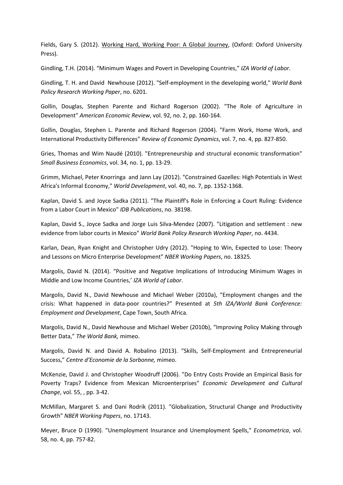Fields, Gary S. (2012). Working Hard, Working Poor: A Global Journey, (Oxford: Oxford University Press).

Gindling, T.H. (2014). "Minimum Wages and Povert in Developing Countries," *IZA World of Labor.*

Gindling, T. H. and David Newhouse (2012). "Self-employment in the developing world," *World Bank Policy Research Working Paper*, no. 6201.

Gollin, Douglas, Stephen Parente and Richard Rogerson (2002). "The Role of Agriculture in Development" *American Economic Review*, vol. 92, no. 2, pp. 160-164.

Gollin, Douglas, Stephen L. Parente and Richard Rogerson (2004). "Farm Work, Home Work, and International Productivity Differences" *Review of Economic Dynamics*, vol. 7, no. 4, pp. 827-850.

Gries, Thomas and Wim Naudé (2010). "Entrepreneurship and structural economic transformation" *Small Business Economics*, vol. 34, no. 1, pp. 13-29.

Grimm, Michael, Peter Knorringa and Jann Lay (2012). "Constrained Gazelles: High Potentials in West Africa's Informal Economy," *World Development*, vol. 40, no. 7, pp. 1352-1368.

Kaplan, David S. and Joyce Sadka (2011). "The Plaintiff's Role in Enforcing a Court Ruling: Evidence from a Labor Court in Mexico" *IDB Publications*, no. 38198.

Kaplan, David S., Joyce Sadka and Jorge Luis Silva-Mendez (2007). "Litigation and settlement : new evidence from labor courts in Mexico" *World Bank Policy Research Working Paper*, no. 4434.

Karlan, Dean, Ryan Knight and Christopher Udry (2012). "Hoping to Win, Expected to Lose: Theory and Lessons on Micro Enterprise Development" *NBER Working Papers*, no. 18325.

Margolis, David N. (2014). "Positive and Negative Implications of Introducing Minimum Wages in Middle and Low Income Countries,' *IZA World of Labor*.

Margolis, David N., David Newhouse and Michael Weber (2010a), "Employment changes and the crisis: What happened in data-poor countries?" Presented at *5th IZA/World Bank Conference: Employment and Development*, Cape Town, South Africa.

Margolis, David N., David Newhouse and Michael Weber (2010b), "Improving Policy Making through Better Data," *The World Bank,* mimeo.

Margolis, David N. and David A. Robalino (2013). "Skills, Self-Employment and Entrepreneurial Success," *Centre d'Economie de la Sorbonne,* mimeo.

McKenzie, David J. and Christopher Woodruff (2006). "Do Entry Costs Provide an Empirical Basis for Poverty Traps? Evidence from Mexican Microenterprises" *Economic Development and Cultural Change*, vol. 55, , pp. 3-42.

McMillan, Margaret S. and Dani Rodrik (2011). "Globalization, Structural Change and Productivity Growth" *NBER Working Papers*, no. 17143.

Meyer, Bruce D (1990). "Unemployment Insurance and Unemployment Spells," *Econometrica*, vol. 58, no. 4, pp. 757-82.